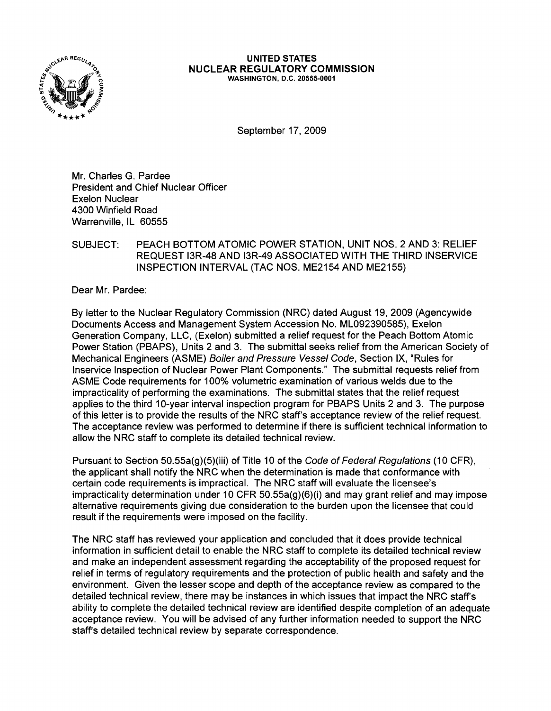

## UNITED STATES NUCLEAR REGULATORY COMMISSION WASHINGTON, D.C. 20555-0001

September 17, 2009

Mr. Charles G. Pardee President and Chief Nuclear Officer Exelon Nuclear 4300 Winfield Road Warrenville, IL 60555

## SUBJECT: PEACH BOTTOM ATOMIC POWER STATION, UNIT NOS. 2 AND 3: RELIEF REQUEST 13R-48AND 13R-49 ASSOCIATED WITH THE THIRD INSERVICE INSPECTION INTERVAL (TAC NOS. ME2154 AND ME2155)

Dear Mr. Pardee:

By letter to the Nuclear Regulatory Commission (NRC) dated August 19, 2009 (Agencywide Documents Access and Management System Accession No. ML092390585), Exelon Generation Company, LLC, (Exelon) submitted a relief request for the Peach Bottom Atomic Power Station (PBAPS), Units 2 and 3. The submittal seeks relief from the American Society of Mechanical Engineers (ASME) Boiler and Pressure Vessel Code, Section IX, "Rules for Inservice Inspection of Nuclear Power Plant Components." The submittal requests relief from ASME Code requirements for 100% volumetric examination of various welds due to the impracticality of performing the examinations. The submittal states that the relief request applies to the third 10-year interval inspection program for PBAPS Units 2 and 3. The purpose of this letter is to provide the results of the NRC staff's acceptance review of the relief request. The acceptance review was performed to determine if there is sufficient technical information to allow the NRC staff to complete its detailed technical review.

Pursuant to Section 50.55a(g)(5)(iii) of Title 10 of the Code of Federal Regulations (10 CFR), the applicant shall notify the NRC when the determination is made that conformance with certain code requirements is impractical. The NRC staff will evaluate the licensee's impracticality determination under 10 CFR 50.55a(g)(6)(i) and may grant relief and may impose alternative requirements giving due consideration to the burden upon the licensee that could result if the requirements were imposed on the facility.

The NRC staff has reviewed your application and concluded that it does provide technical information in sufficient detail to enable the NRC staff to complete its detailed technical review and make an independent assessment regarding the acceptability of the proposed request for relief in terms of regulatory requirements and the protection of public health and safety and the environment. Given the lesser scope and depth of the acceptance review as compared to the detailed technical review, there may be instances in which issues that impact the NRC staff's ability to complete the detailed technical review are identified despite completion of an adequate acceptance review. You will be advised of any further information needed to support the NRC staff's detailed technical review by separate correspondence.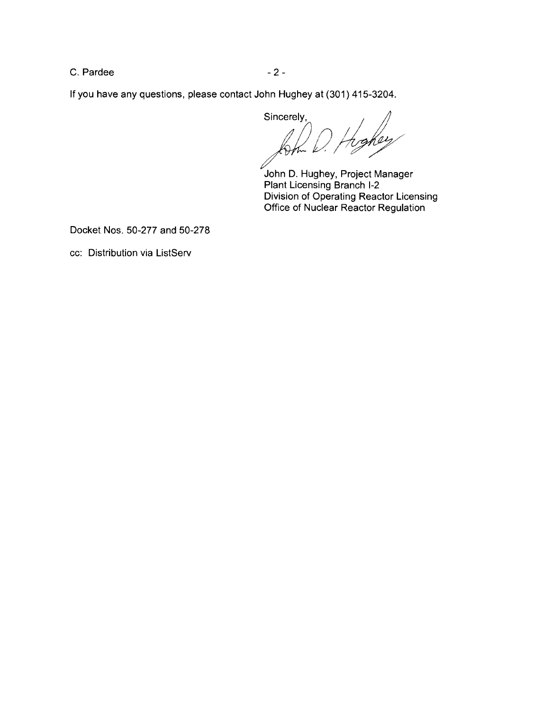$C.$  Pardee  $-2-$ 

If you have any questions, please contact John Hughey at (301) 415-3204.

Sincerely,<br>form  $\mathcal{D}$  //

John D. Hughey, Project Manager Plant Licensing Branch 1-2 Division of Operating Reactor Licensing Office of Nuclear Reactor Regulation

Docket Nos. 50-277 and 50-278

cc: Distribution via ListServ